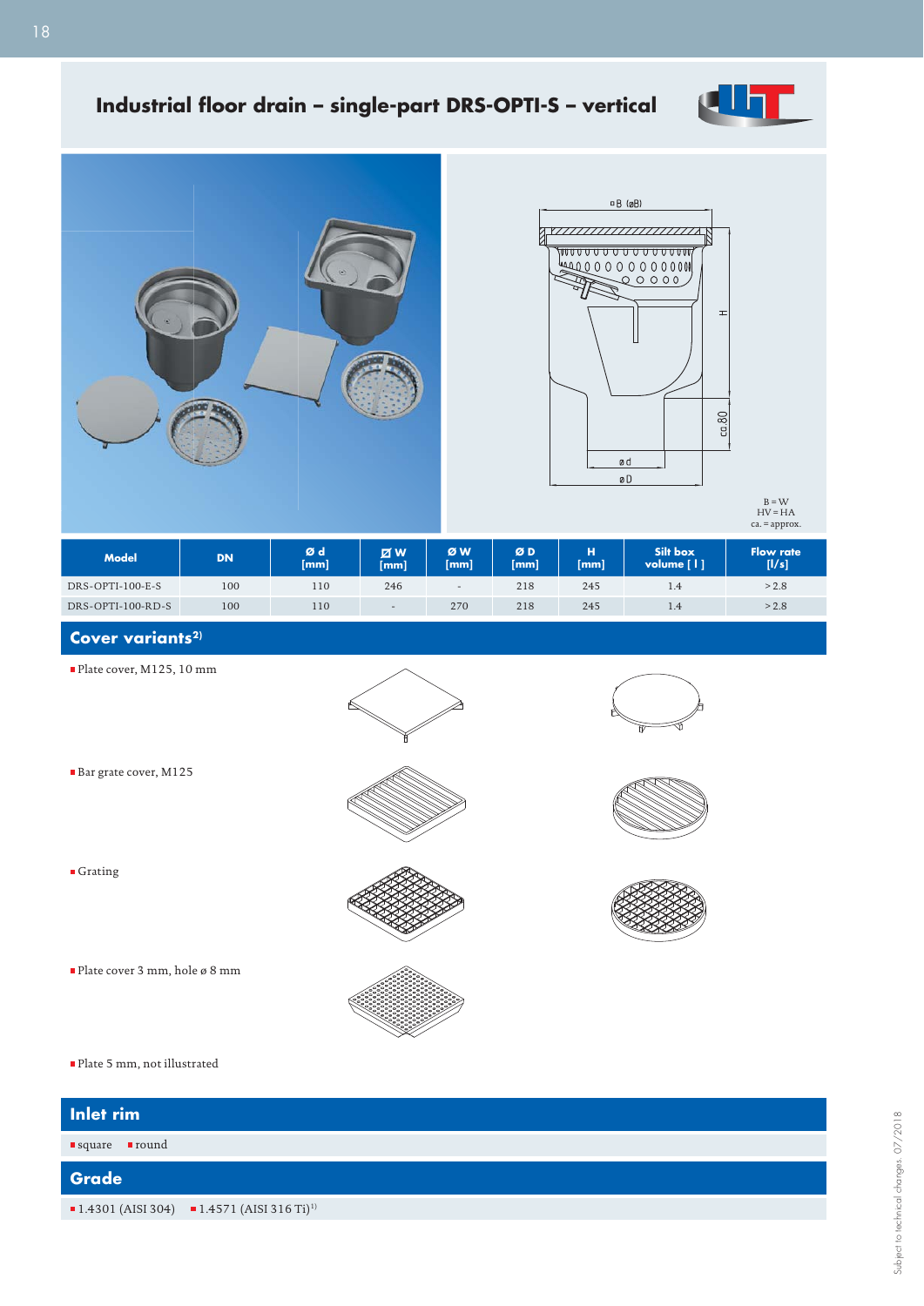

## Industrial floor drain - single-part DRS-OPTI-S - vertical





 $B = W$ <br>HV = HA ca. = approx.

| <b>Model</b>      | <b>DN</b> | Ød<br>[mm] | <b>ZW</b><br>[mm] | ØW<br>[mm]               | ØD<br>[mm] | н<br>[mm] | Silt box<br>volume [   ] | <b>Flow rate</b><br>[1/s] |
|-------------------|-----------|------------|-------------------|--------------------------|------------|-----------|--------------------------|---------------------------|
| DRS-OPTI-100-E-S  | 100       | 110        | 246               | $\overline{\phantom{a}}$ | 218        | 245       | 1.4                      | > 2.8                     |
| DRS-OPTI-100-RD-S | 100       | 110        | $\,$ $\,$         | 270                      | 218        | 245       | 1.4                      | > 2.8                     |

## Cover variants<sup>2)</sup>

Bar grate cover, M125

■ Grating

Plate cover, M125, 10 mm















Plate 5 mm, not illustrated

Plate cover 3 mm, hole ø 8 mm

| Inlet rim                       |                                                          |
|---------------------------------|----------------------------------------------------------|
| ■round<br>$\blacksquare$ square |                                                          |
| Grade                           |                                                          |
|                                 | ■ 1.4301 (AISI 304) ■ 1.4571 (AISI 316 Ti) <sup>1)</sup> |